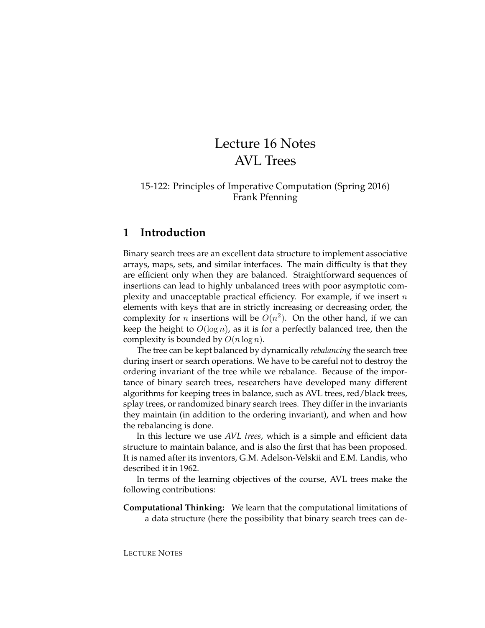# Lecture 16 Notes AVL Trees

#### 15-122: Principles of Imperative Computation (Spring 2016) Frank Pfenning

# **1 Introduction**

Binary search trees are an excellent data structure to implement associative arrays, maps, sets, and similar interfaces. The main difficulty is that they are efficient only when they are balanced. Straightforward sequences of insertions can lead to highly unbalanced trees with poor asymptotic complexity and unacceptable practical efficiency. For example, if we insert  $n$ elements with keys that are in strictly increasing or decreasing order, the complexity for *n* insertions will be  $O(n^2)$ . On the other hand, if we can keep the height to  $O(\log n)$ , as it is for a perfectly balanced tree, then the complexity is bounded by  $O(n \log n)$ .

The tree can be kept balanced by dynamically *rebalancing* the search tree during insert or search operations. We have to be careful not to destroy the ordering invariant of the tree while we rebalance. Because of the importance of binary search trees, researchers have developed many different algorithms for keeping trees in balance, such as AVL trees, red/black trees, splay trees, or randomized binary search trees. They differ in the invariants they maintain (in addition to the ordering invariant), and when and how the rebalancing is done.

In this lecture we use *AVL trees*, which is a simple and efficient data structure to maintain balance, and is also the first that has been proposed. It is named after its inventors, G.M. Adelson-Velskii and E.M. Landis, who described it in 1962.

In terms of the learning objectives of the course, AVL trees make the following contributions:

**Computational Thinking:** We learn that the computational limitations of a data structure (here the possibility that binary search trees can de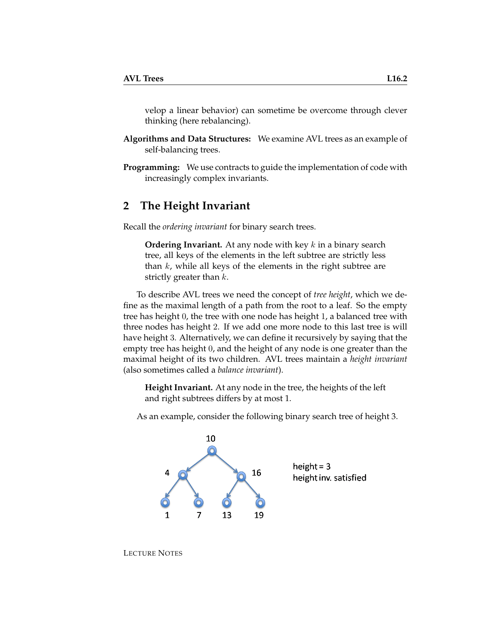velop a linear behavior) can sometime be overcome through clever thinking (here rebalancing).

- **Algorithms and Data Structures:** We examine AVL trees as an example of self-balancing trees.
- **Programming:** We use contracts to guide the implementation of code with increasingly complex invariants.

### **2 The Height Invariant**

Recall the *ordering invariant* for binary search trees.

**Ordering Invariant.** At any node with key k in a binary search tree, all keys of the elements in the left subtree are strictly less than  $k$ , while all keys of the elements in the right subtree are strictly greater than  $k$ .

To describe AVL trees we need the concept of *tree height*, which we define as the maximal length of a path from the root to a leaf. So the empty tree has height 0, the tree with one node has height 1, a balanced tree with three nodes has height 2. If we add one more node to this last tree is will have height 3. Alternatively, we can define it recursively by saying that the empty tree has height 0, and the height of any node is one greater than the maximal height of its two children. AVL trees maintain a *height invariant* (also sometimes called a *balance invariant*).

**Height Invariant.** At any node in the tree, the heights of the left and right subtrees differs by at most 1.

As an example, consider the following binary search tree of height 3.



LECTURE NOTES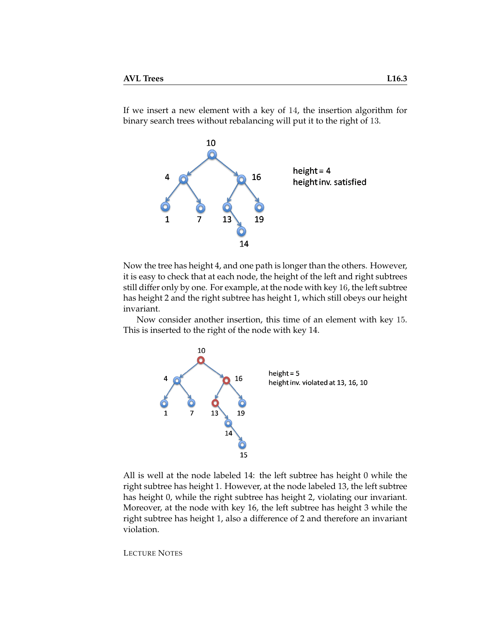If we insert a new element with a key of 14, the insertion algorithm for binary search trees without rebalancing will put it to the right of 13.



Now the tree has height 4, and one path is longer than the others. However, it is easy to check that at each node, the height of the left and right subtrees still differ only by one. For example, at the node with key 16, the left subtree has height 2 and the right subtree has height 1, which still obeys our height invariant.

Now consider another insertion, this time of an element with key 15. This is inserted to the right of the node with key 14.



All is well at the node labeled 14: the left subtree has height 0 while the right subtree has height 1. However, at the node labeled 13, the left subtree has height 0, while the right subtree has height 2, violating our invariant. Moreover, at the node with key 16, the left subtree has height 3 while the right subtree has height 1, also a difference of 2 and therefore an invariant violation.

LECTURE NOTES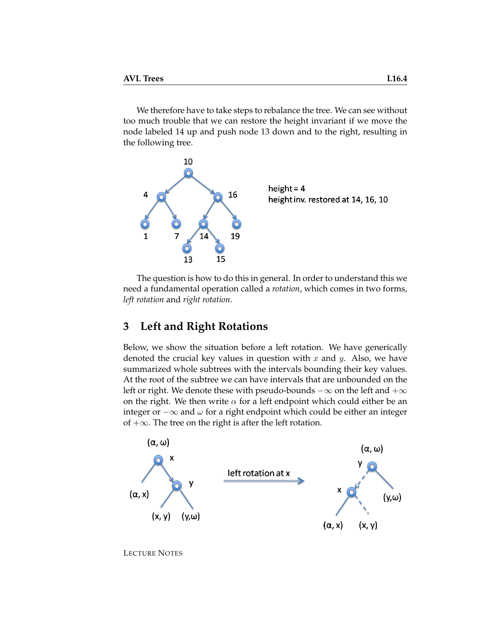We therefore have to take steps to rebalance the tree. We can see without too much trouble that we can restore the height invariant if we move the node labeled 14 up and push node 13 down and to the right, resulting in the following tree.



The question is how to do this in general. In order to understand this we need a fundamental operation called a *rotation*, which comes in two forms, *left rotation* and *right rotation*.

## **3 Left and Right Rotations**

Below, we show the situation before a left rotation. We have generically denoted the crucial key values in question with  $x$  and  $y$ . Also, we have summarized whole subtrees with the intervals bounding their key values. At the root of the subtree we can have intervals that are unbounded on the left or right. We denote these with pseudo-bounds  $-\infty$  on the left and  $+\infty$ on the right. We then write  $\alpha$  for a left endpoint which could either be an integer or  $-\infty$  and  $\omega$  for a right endpoint which could be either an integer of  $+\infty$ . The tree on the right is after the left rotation.



LECTURE NOTES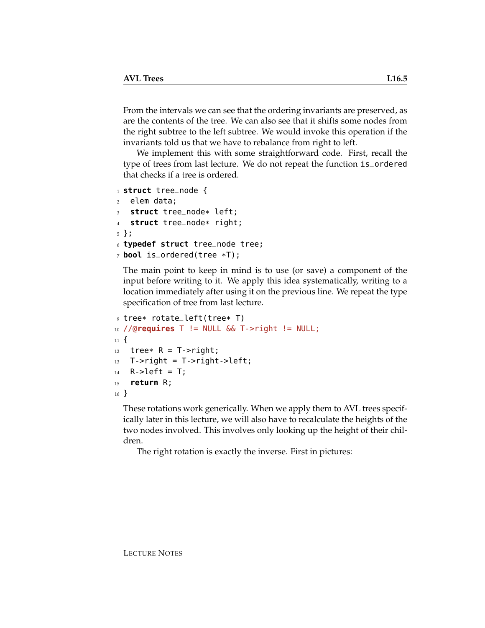From the intervals we can see that the ordering invariants are preserved, as are the contents of the tree. We can also see that it shifts some nodes from the right subtree to the left subtree. We would invoke this operation if the invariants told us that we have to rebalance from right to left.

We implement this with some straightforward code. First, recall the type of trees from last lecture. We do not repeat the function is\_ordered that checks if a tree is ordered.

```
1 struct tree_node {
2 elem data;
3 struct tree_node* left;
   struct tree_node* right;
5 };
6 typedef struct tree_node tree;
7 bool is_ordered(tree *T);
```
The main point to keep in mind is to use (or save) a component of the input before writing to it. We apply this idea systematically, writing to a location immediately after using it on the previous line. We repeat the type specification of tree from last lecture.

```
9 tree* rotate_left(tree* T)
10 //@requires T != NULL && T->right != NULL;
11 \t{1}12 tree* R = T->right;
13 T->right = T->right->left;
14 R->left = T;
15 return R;
16 }
```
These rotations work generically. When we apply them to AVL trees specifically later in this lecture, we will also have to recalculate the heights of the two nodes involved. This involves only looking up the height of their children.

The right rotation is exactly the inverse. First in pictures: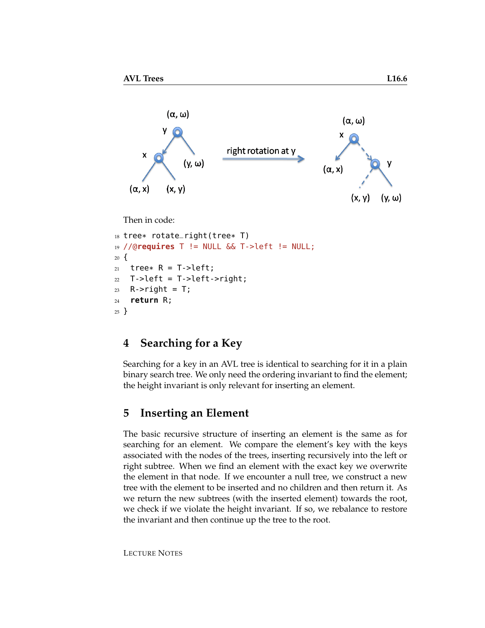

#### Then in code:

```
18 tree* rotate_right(tree* T)
19 //@requires T != NULL && T->left != NULL;
20 \frac{1}{20}21 tree* R = T->left;
22 T->left = T->left->right;
23 R->right = T;
24 return R;
25 }
```
# **4 Searching for a Key**

Searching for a key in an AVL tree is identical to searching for it in a plain binary search tree. We only need the ordering invariant to find the element; the height invariant is only relevant for inserting an element.

#### <span id="page-5-0"></span>**5 Inserting an Element**

The basic recursive structure of inserting an element is the same as for searching for an element. We compare the element's key with the keys associated with the nodes of the trees, inserting recursively into the left or right subtree. When we find an element with the exact key we overwrite the element in that node. If we encounter a null tree, we construct a new tree with the element to be inserted and no children and then return it. As we return the new subtrees (with the inserted element) towards the root, we check if we violate the height invariant. If so, we rebalance to restore the invariant and then continue up the tree to the root.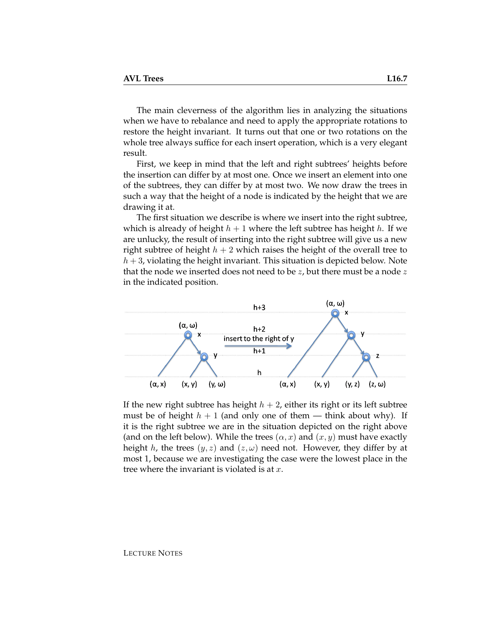The main cleverness of the algorithm lies in analyzing the situations when we have to rebalance and need to apply the appropriate rotations to restore the height invariant. It turns out that one or two rotations on the whole tree always suffice for each insert operation, which is a very elegant result.

First, we keep in mind that the left and right subtrees' heights before the insertion can differ by at most one. Once we insert an element into one of the subtrees, they can differ by at most two. We now draw the trees in such a way that the height of a node is indicated by the height that we are drawing it at.

The first situation we describe is where we insert into the right subtree, which is already of height  $h + 1$  where the left subtree has height h. If we are unlucky, the result of inserting into the right subtree will give us a new right subtree of height  $h + 2$  which raises the height of the overall tree to  $h + 3$ , violating the height invariant. This situation is depicted below. Note that the node we inserted does not need to be  $z$ , but there must be a node  $z$ in the indicated position.



If the new right subtree has height  $h + 2$ , either its right or its left subtree must be of height  $h + 1$  (and only one of them — think about why). If it is the right subtree we are in the situation depicted on the right above (and on the left below). While the trees  $(\alpha, x)$  and  $(x, y)$  must have exactly height h, the trees  $(y, z)$  and  $(z, \omega)$  need not. However, they differ by at most 1, because we are investigating the case were the lowest place in the tree where the invariant is violated is at  $x$ .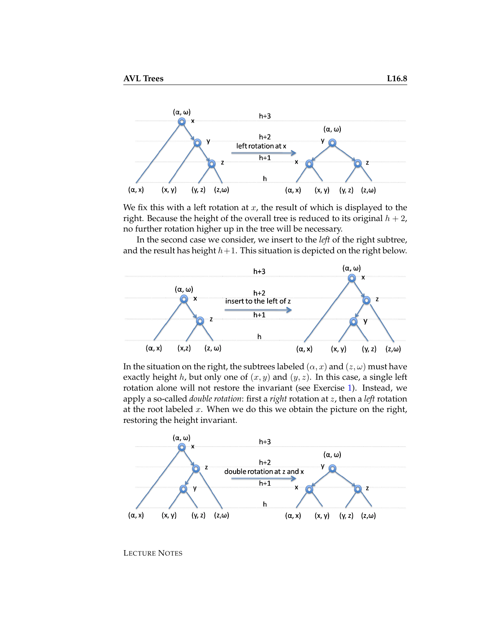

We fix this with a left rotation at  $x$ , the result of which is displayed to the right. Because the height of the overall tree is reduced to its original  $h + 2$ , no further rotation higher up in the tree will be necessary.

In the second case we consider, we insert to the *left* of the right subtree, and the result has height  $h+1$ . This situation is depicted on the right below.



In the situation on the right, the subtrees labeled  $(\alpha, x)$  and  $(z, \omega)$  must have exactly height h, but only one of  $(x, y)$  and  $(y, z)$ . In this case, a single left rotation alone will not restore the invariant (see Exercise [1\)](#page-14-0). Instead, we apply a so-called *double rotation*: first a *right* rotation at z, then a *left* rotation at the root labeled  $x$ . When we do this we obtain the picture on the right, restoring the height invariant.

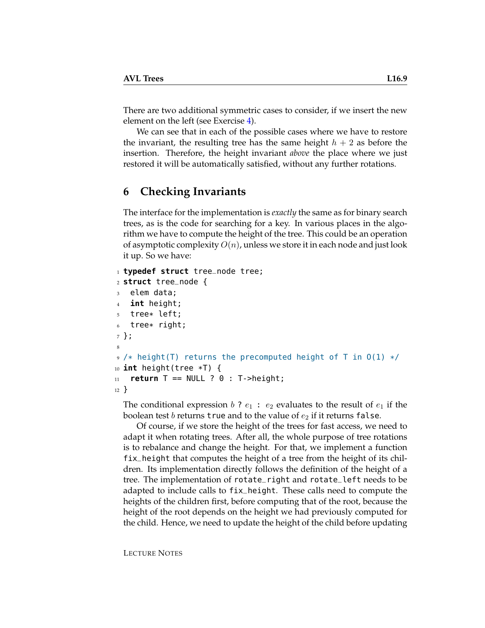There are two additional symmetric cases to consider, if we insert the new element on the left (see Exercise [4\)](#page-14-1).

We can see that in each of the possible cases where we have to restore the invariant, the resulting tree has the same height  $h + 2$  as before the insertion. Therefore, the height invariant *above* the place where we just restored it will be automatically satisfied, without any further rotations.

## **6 Checking Invariants**

The interface for the implementation is *exactly* the same as for binary search trees, as is the code for searching for a key. In various places in the algorithm we have to compute the height of the tree. This could be an operation of asymptotic complexity  $O(n)$ , unless we store it in each node and just look it up. So we have:

```
1 typedef struct tree_node tree;
2 struct tree_node {
3 elem data;
4 int height;
5 tree* left;
   tree* right;
7 };
8
9 /* height(T) returns the precomputed height of T in 0(1) */
10 int height(tree *T) {
11 return T == NULL ? 0 : T->height;
12 }
```
The conditional expression b ?  $e_1 : e_2$  evaluates to the result of  $e_1$  if the boolean test b returns true and to the value of  $e_2$  if it returns false.

Of course, if we store the height of the trees for fast access, we need to adapt it when rotating trees. After all, the whole purpose of tree rotations is to rebalance and change the height. For that, we implement a function fix\_height that computes the height of a tree from the height of its children. Its implementation directly follows the definition of the height of a tree. The implementation of rotate\_right and rotate\_left needs to be adapted to include calls to fix\_height. These calls need to compute the heights of the children first, before computing that of the root, because the height of the root depends on the height we had previously computed for the child. Hence, we need to update the height of the child before updating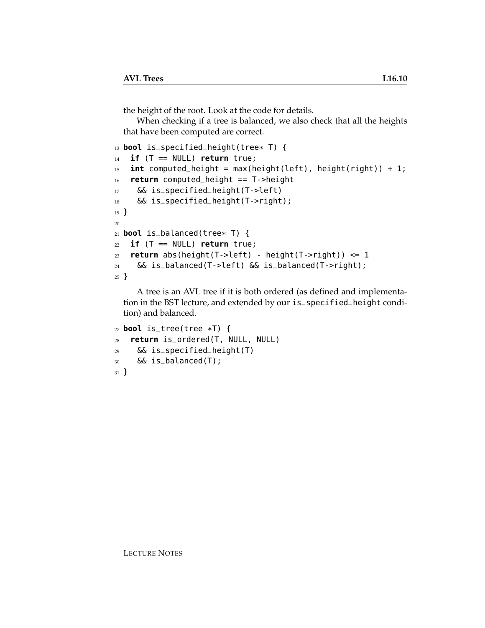the height of the root. Look at the code for details.

When checking if a tree is balanced, we also check that all the heights that have been computed are correct.

```
13 bool is_specified_height(tree* T) {
14 if (T == NULL) return true;
15 int computed_height = max(height(left), height(right)) + 1;
16 return computed_height == T->height
17 && is_specified_height(T->left)
18 && is_specified_height(T->right);
19 }
20
21 bool is_balanced(tree* T) {
22 if (T == NULL) return true;
23 return abs(height(T->left) - height(T->right)) <= 1
24 && is_balanced(T->left) && is_balanced(T->right);
25 }
```
A tree is an AVL tree if it is both ordered (as defined and implementation in the BST lecture, and extended by our is\_specified\_height condition) and balanced.

```
27 bool is_tree(tree *T) {
28 return is_ordered(T, NULL, NULL)
29 && is_specified_height(T)
30 && is_balanced(T);
31 }
```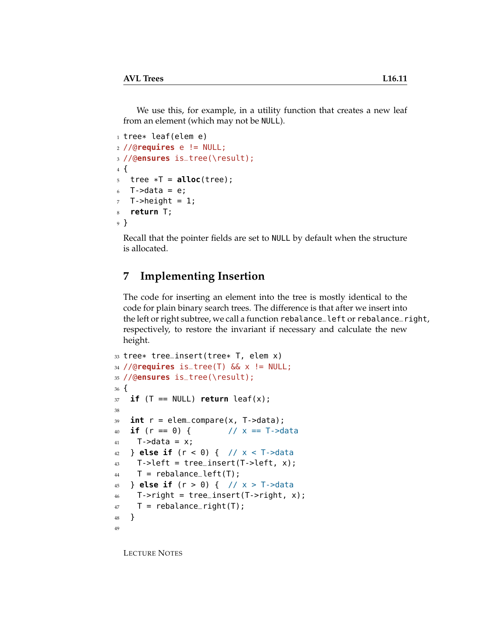We use this, for example, in a utility function that creates a new leaf from an element (which may not be NULL).

```
_1 tree* leaf(elem e)
2 //Qrequires e != NULL;
3 //@ensures is_tree(\result);
4 {
5 tree *T = <b>alloc</b>(tree);6 T->data = e;
7 T->height = 1;
8 return T;
9 }
```
Recall that the pointer fields are set to NULL by default when the structure is allocated.

# **7 Implementing Insertion**

The code for inserting an element into the tree is mostly identical to the code for plain binary search trees. The difference is that after we insert into the left or right subtree, we call a function rebalance\_left or rebalance\_right, respectively, to restore the invariant if necessary and calculate the new height.

```
33 tree* tree_insert(tree* T, elem x)
34 //@requires is_tree(T) && x != NULL;
35 //@ensures is_tree(\result);
36 {
37 if (T == NULL) return leaf(x);
38
39 int r = elem_compare(x, T->data);
40 if (r == 0) { // x == T->data
41 T->data = x;
42 } else if (r < 0) { // x < T->data
43 T->left = tree_insert(T->left, x);
44 T = rebalance_left(T);
45 } else if (r > 0) { // x > T->data
46 T->right = tree_insert(T->right, x);
47 T = rebalance_right(T);
48 }
49
```
LECTURE NOTES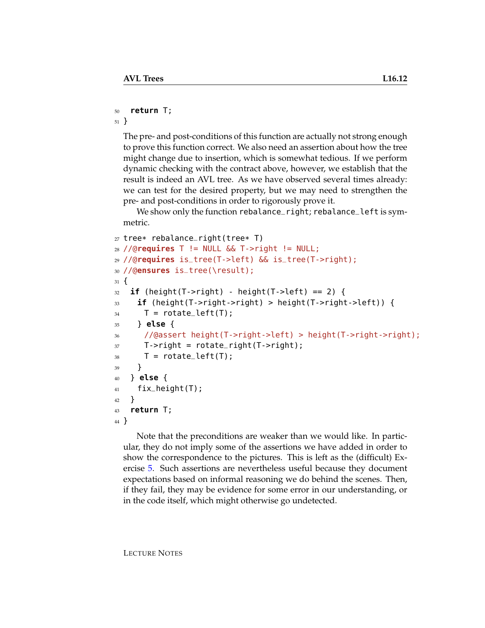#### <sup>50</sup> **return** T;

<sup>51</sup> }

The pre- and post-conditions of this function are actually not strong enough to prove this function correct. We also need an assertion about how the tree might change due to insertion, which is somewhat tedious. If we perform dynamic checking with the contract above, however, we establish that the result is indeed an AVL tree. As we have observed several times already: we can test for the desired property, but we may need to strengthen the pre- and post-conditions in order to rigorously prove it.

We show only the function rebalance\_right; rebalance\_left is symmetric.

```
27 tree* rebalance_right(tree* T)
28 //@requires T != NULL && T->right != NULL;
29 //@requires is_tree(T->left) && is_tree(T->right);
30 //@ensures is_tree(\result);
31 \frac{1}{2}32 if (height(T->right) - height(T->left) == 2) {
33 if (height(T->right->right) > height(T->right->left)) {
34 T = rotate_left(T);
35 } else {
36 //@assert height(T->right->left) > height(T->right->right);
37 T->right = rotate_right(T->right);
38 T = rotate_left(T);
39 }
40 } else {
41 fix_height(T);
42 }
43 return T;
44 }
```
Note that the preconditions are weaker than we would like. In particular, they do not imply some of the assertions we have added in order to show the correspondence to the pictures. This is left as the (difficult) Exercise [5.](#page-14-2) Such assertions are nevertheless useful because they document expectations based on informal reasoning we do behind the scenes. Then, if they fail, they may be evidence for some error in our understanding, or in the code itself, which might otherwise go undetected.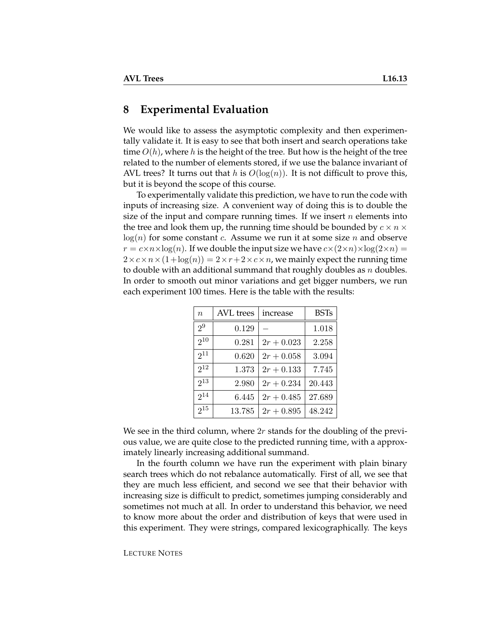#### **8 Experimental Evaluation**

We would like to assess the asymptotic complexity and then experimentally validate it. It is easy to see that both insert and search operations take time  $O(h)$ , where h is the height of the tree. But how is the height of the tree related to the number of elements stored, if we use the balance invariant of AVL trees? It turns out that h is  $O(log(n))$ . It is not difficult to prove this, but it is beyond the scope of this course.

To experimentally validate this prediction, we have to run the code with inputs of increasing size. A convenient way of doing this is to double the size of the input and compare running times. If we insert  $n$  elements into the tree and look them up, the running time should be bounded by  $c \times n \times$  $log(n)$  for some constant c. Assume we run it at some size n and observe  $r = c \times n \times \log(n)$ . If we double the input size we have  $c \times (2 \times n) \times \log(2 \times n) =$  $2 \times c \times n \times (1 + \log(n)) = 2 \times r + 2 \times c \times n$ , we mainly expect the running time to double with an additional summand that roughly doubles as  $n$  doubles. In order to smooth out minor variations and get bigger numbers, we run each experiment 100 times. Here is the table with the results:

| $\boldsymbol{n}$ | <b>AVL</b> trees | increase     | <b>BSTs</b> |
|------------------|------------------|--------------|-------------|
| 2 <sup>9</sup>   | 0.129            |              | 1.018       |
| $2^{10}$         | 0.281            | $2r + 0.023$ | 2.258       |
| $2^{11}$         | 0.620            | $2r + 0.058$ | 3.094       |
| $2^{12}$         | 1.373            | $2r + 0.133$ | 7.745       |
| $2^{13}$         | 2.980            | $2r + 0.234$ | 20.443      |
| $2^{14}$         | 6.445            | $2r + 0.485$ | 27.689      |
| $2^{15}$         | 13.785           | $2r + 0.895$ | 48.242      |

We see in the third column, where  $2r$  stands for the doubling of the previous value, we are quite close to the predicted running time, with a approximately linearly increasing additional summand.

In the fourth column we have run the experiment with plain binary search trees which do not rebalance automatically. First of all, we see that they are much less efficient, and second we see that their behavior with increasing size is difficult to predict, sometimes jumping considerably and sometimes not much at all. In order to understand this behavior, we need to know more about the order and distribution of keys that were used in this experiment. They were strings, compared lexicographically. The keys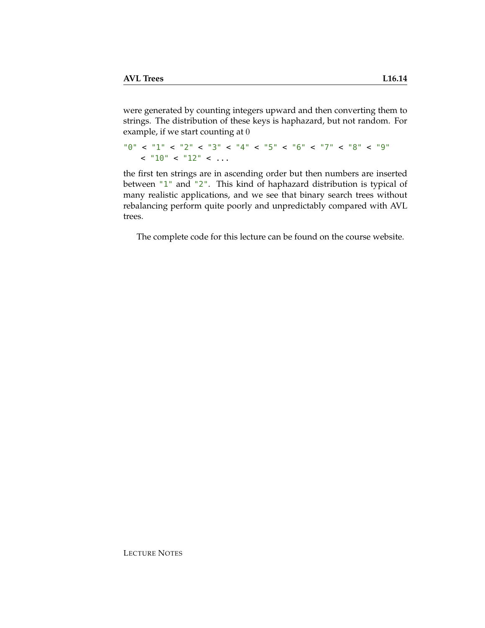were generated by counting integers upward and then converting them to strings. The distribution of these keys is haphazard, but not random. For example, if we start counting at 0

```
"0" < "1" < "2" < "3" < "4" < "5" < "6" < "7" < "8" < "9"
   < "10" < "12" < ...
```
the first ten strings are in ascending order but then numbers are inserted between "1" and "2". This kind of haphazard distribution is typical of many realistic applications, and we see that binary search trees without rebalancing perform quite poorly and unpredictably compared with AVL trees.

The complete code for this lecture can be found on the course website.